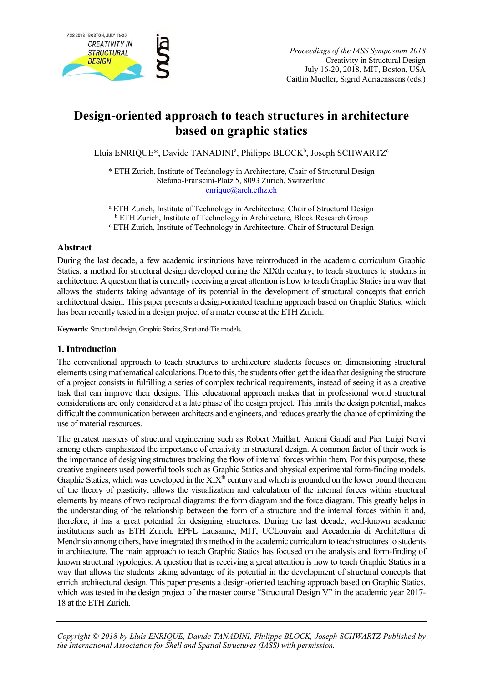

# **Design-oriented approach to teach structures in architecture based on graphic statics**

Lluís ENRIQUE\*, Davide TANADINIª, Philippe BLOCK<sup>b</sup>, Joseph SCHWARTZ<sup>e</sup>

\* ETH Zurich, Institute of Technology in Architecture, Chair of Structural Design Stefano-Franscini-Platz 5, 8093 Zurich, Switzerland enrique@arch.ethz.ch

<sup>a</sup> ETH Zurich, Institute of Technology in Architecture, Chair of Structural Design <sup>b</sup> ETH Zurich, Institute of Technology in Architecture, Block Research Group<br>
<sup>c</sup> ETH Zurich, Institute of Technology in Architecture, Chair of Structural Design ETH Zurich, Institute of Technology in Architecture, Chair of Structural Design

# **Abstract**

During the last decade, a few academic institutions have reintroduced in the academic curriculum Graphic Statics, a method for structural design developed during the XIXth century, to teach structures to students in architecture. A question that is currently receiving a great attention is how to teach Graphic Statics in a way that allows the students taking advantage of its potential in the development of structural concepts that enrich architectural design. This paper presents a design-oriented teaching approach based on Graphic Statics, which has been recently tested in a design project of a mater course at the ETH Zurich.

**Keywords**: Structural design, Graphic Statics, Strut-and-Tie models.

### **1. Introduction**

The conventional approach to teach structures to architecture students focuses on dimensioning structural elements using mathematical calculations. Due to this, the students often get the idea that designing the structure of a project consists in fulfilling a series of complex technical requirements, instead of seeing it as a creative task that can improve their designs. This educational approach makes that in professional world structural considerations are only considered at a late phase of the design project. This limits the design potential, makes difficult the communication between architects and engineers, and reduces greatly the chance of optimizing the use of material resources.

The greatest masters of structural engineering such as Robert Maillart, Antoni Gaudí and Pier Luigi Nervi among others emphasized the importance of creativity in structural design. A common factor of their work is the importance of designing structures tracking the flow of internal forces within them. For this purpose, these creative engineers used powerful tools such as Graphic Statics and physical experimental form-finding models. Graphic Statics, which was developed in the  $XIX^{th}$  century and which is grounded on the lower bound theorem of the theory of plasticity, allows the visualization and calculation of the internal forces within structural elements by means of two reciprocal diagrams: the form diagram and the force diagram. This greatly helps in the understanding of the relationship between the form of a structure and the internal forces within it and, therefore, it has a great potential for designing structures. During the last decade, well-known academic institutions such as ETH Zurich, EPFL Lausanne, MIT, UCLouvain and Accademia di Architettura di Mendrisio among others, have integrated this method in the academic curriculum to teach structures to students in architecture. The main approach to teach Graphic Statics has focused on the analysis and form-finding of known structural typologies. A question that is receiving a great attention is how to teach Graphic Statics in a way that allows the students taking advantage of its potential in the development of structural concepts that enrich architectural design. This paper presents a design-oriented teaching approach based on Graphic Statics, which was tested in the design project of the master course "Structural Design V" in the academic year 2017-18 at the ETH Zurich.

*Copyright © 2018 by Lluís ENRIQUE, Davide TANADINI, Philippe BLOCK, Joseph SCHWARTZ Published by the International Association for Shell and Spatial Structures (IASS) with permission.*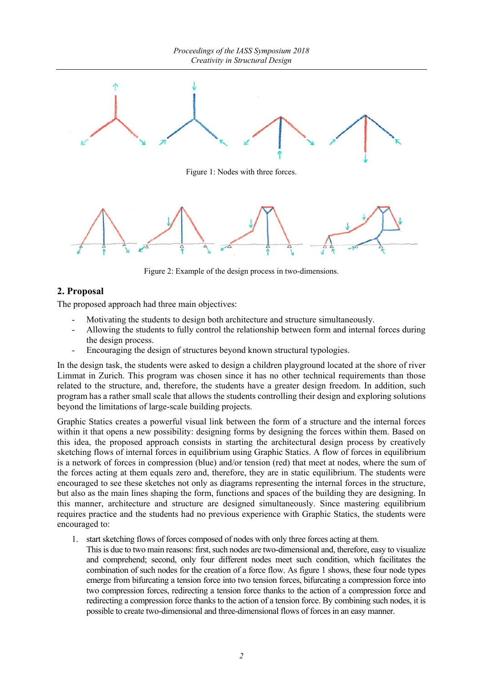

Figure 2: Example of the design process in two-dimensions.

# **2. Proposal**

The proposed approach had three main objectives:

- Motivating the students to design both architecture and structure simultaneously.
- Allowing the students to fully control the relationship between form and internal forces during the design process.
- Encouraging the design of structures beyond known structural typologies.

In the design task, the students were asked to design a children playground located at the shore of river Limmat in Zurich. This program was chosen since it has no other technical requirements than those related to the structure, and, therefore, the students have a greater design freedom. In addition, such program has a rather small scale that allows the students controlling their design and exploring solutions beyond the limitations of large-scale building projects.

Graphic Statics creates a powerful visual link between the form of a structure and the internal forces within it that opens a new possibility: designing forms by designing the forces within them. Based on this idea, the proposed approach consists in starting the architectural design process by creatively sketching flows of internal forces in equilibrium using Graphic Statics. A flow of forces in equilibrium is a network of forces in compression (blue) and/or tension (red) that meet at nodes, where the sum of the forces acting at them equals zero and, therefore, they are in static equilibrium. The students were encouraged to see these sketches not only as diagrams representing the internal forces in the structure, but also as the main lines shaping the form, functions and spaces of the building they are designing. In this manner, architecture and structure are designed simultaneously. Since mastering equilibrium requires practice and the students had no previous experience with Graphic Statics, the students were encouraged to:

- 1. start sketching flows of forces composed of nodes with only three forces acting at them.
	- This is due to two main reasons: first, such nodes are two-dimensional and, therefore, easy to visualize and comprehend; second, only four different nodes meet such condition, which facilitates the combination of such nodes for the creation of a force flow. As figure 1 shows, these four node types emerge from bifurcating a tension force into two tension forces, bifurcating a compression force into two compression forces, redirecting a tension force thanks to the action of a compression force and redirecting a compression force thanks to the action of a tension force. By combining such nodes, it is possible to create two-dimensional and three-dimensional flows of forces in an easy manner.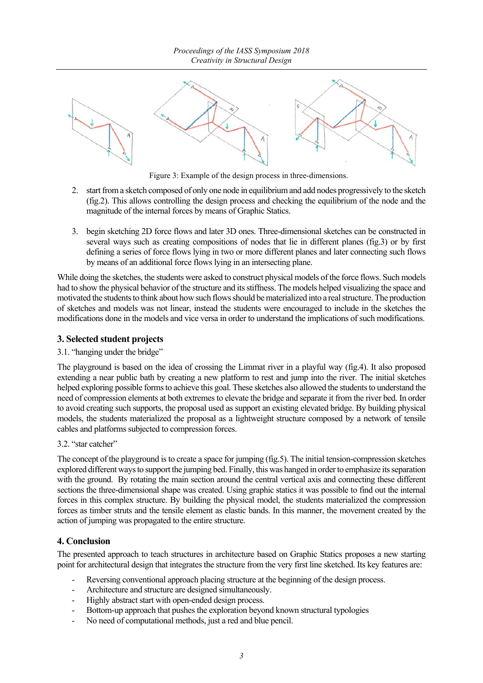

Figure 3: Example of the design process in three-dimensions.

- 2. start from a sketch composed of only one node in equilibrium and add nodes progressively to the sketch (fig.2). This allows controlling the design process and checking the equilibrium of the node and the magnitude of the internal forces by means of Graphic Statics.
- 3. begin sketching 2D force flows and later 3D ones. Three-dimensional sketches can be constructed in several ways such as creating compositions of nodes that lie in different planes (fig.3) or by first defining a series of force flows lying in two or more different planes and later connecting such flows by means of an additional force flows lying in an intersecting plane.

While doing the sketches, the students were asked to construct physical models of the force flows. Such models had to show the physical behavior of the structure and its stiffness. The models helped visualizing the space and motivated the students to think about how such flows should be materialized into a real structure. The production of sketches and models was not linear, instead the students were encouraged to include in the sketches the modifications done in the models and vice versa in order to understand the implications of such modifications.

# **3. Selected student projects**

#### 3.1. "hanging under the bridge"

The playground is based on the idea of crossing the Limmat river in a playful way (fig.4). It also proposed extending a near public bath by creating a new platform to rest and jump into the river. The initial sketches helped exploring possible forms to achieve this goal. These sketches also allowed the students to understand the need of compression elements at both extremes to elevate the bridge and separate it from the river bed. In order to avoid creating such supports, the proposal used as support an existing elevated bridge. By building physical models, the students materialized the proposal as a lightweight structure composed by a network of tensile cables and platforms subjected to compression forces.

3.2. "star catcher"

The concept of the playground is to create a space for jumping (fig.5). The initial tension-compression sketches explored different ways to support the jumping bed. Finally, this was hanged in order to emphasize its separation with the ground. By rotating the main section around the central vertical axis and connecting these different sections the three-dimensional shape was created. Using graphic statics it was possible to find out the internal forces in this complex structure. By building the physical model, the students materialized the compression forces as timber struts and the tensile element as elastic bands. In this manner, the movement created by the action of jumping was propagated to the entire structure.

### **4. Conclusion**

The presented approach to teach structures in architecture based on Graphic Statics proposes a new starting point for architectural design that integrates the structure from the very first line sketched. Its key features are:

- Reversing conventional approach placing structure at the beginning of the design process.
- Architecture and structure are designed simultaneously.
- Highly abstract start with open-ended design process.
- Bottom-up approach that pushes the exploration beyond known structural typologies
- No need of computational methods, just a red and blue pencil.